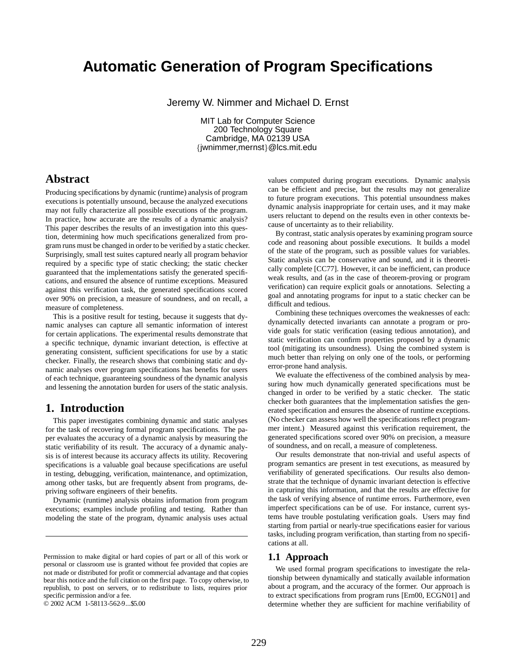# **Automatic Generation of Program Specifications**

Jeremy W. Nimmer and Michael D. Ernst

MIT Lab for Computer Science 200 Technology Square Cambridge, MA 02139 USA {jwnimmer,mernst}@lcs.mit.edu

## **Abstract**

Producing specifications by dynamic (runtime) analysis of program executions is potentially unsound, because the analyzed executions may not fully characterize all possible executions of the program. In practice, how accurate are the results of a dynamic analysis? This paper describes the results of an investigation into this question, determining how much specifications generalized from program runs must be changed in order to be verified by a static checker. Surprisingly, small test suites captured nearly all program behavior required by a specific type of static checking; the static checker guaranteed that the implementations satisfy the generated specifications, and ensured the absence of runtime exceptions. Measured against this verification task, the generated specifications scored over 90% on precision, a measure of soundness, and on recall, a measure of completeness.

This is a positive result for testing, because it suggests that dynamic analyses can capture all semantic information of interest for certain applications. The experimental results demonstrate that a specific technique, dynamic invariant detection, is effective at generating consistent, sufficient specifications for use by a static checker. Finally, the research shows that combining static and dynamic analyses over program specifications has benefits for users of each technique, guaranteeing soundness of the dynamic analysis and lessening the annotation burden for users of the static analysis.

## **1. Introduction**

This paper investigates combining dynamic and static analyses for the task of recovering formal program specifications. The paper evaluates the accuracy of a dynamic analysis by measuring the static verifiability of its result. The accuracy of a dynamic analysis is of interest because its accuracy affects its utility. Recovering specifications is a valuable goal because specifications are useful in testing, debugging, verification, maintenance, and optimization, among other tasks, but are frequently absent from programs, depriving software engineers of their benefits.

Dynamic (runtime) analysis obtains information from program executions; examples include profiling and testing. Rather than modeling the state of the program, dynamic analysis uses actual

© 2002 ACM 1-58113-562-9...\$5.00

values computed during program executions. Dynamic analysis can be efficient and precise, but the results may not generalize to future program executions. This potential unsoundness makes dynamic analysis inappropriate for certain uses, and it may make users reluctant to depend on the results even in other contexts because of uncertainty as to their reliability.

By contrast, static analysis operates by examining program source code and reasoning about possible executions. It builds a model of the state of the program, such as possible values for variables. Static analysis can be conservative and sound, and it is theoretically complete [CC77]. However, it can be inefficient, can produce weak results, and (as in the case of theorem-proving or program verification) can require explicit goals or annotations. Selecting a goal and annotating programs for input to a static checker can be difficult and tedious.

Combining these techniques overcomes the weaknesses of each: dynamically detected invariants can annotate a program or provide goals for static verification (easing tedious annotation), and static verification can confirm properties proposed by a dynamic tool (mitigating its unsoundness). Using the combined system is much better than relying on only one of the tools, or performing error-prone hand analysis.

We evaluate the effectiveness of the combined analysis by measuring how much dynamically generated specifications must be changed in order to be verified by a static checker. The static checker both guarantees that the implementation satisfies the generated specification and ensures the absence of runtime exceptions. (No checker can assess how well the specifications reflect programmer intent.) Measured against this verification requirement, the generated specifications scored over 90% on precision, a measure of soundness, and on recall, a measure of completeness.

Our results demonstrate that non-trivial and useful aspects of program semantics are present in test executions, as measured by verifiability of generated specifications. Our results also demonstrate that the technique of dynamic invariant detection is effective in capturing this information, and that the results are effective for the task of verifying absence of runtime errors. Furthermore, even imperfect specifications can be of use. For instance, current systems have trouble postulating verification goals. Users may find starting from partial or nearly-true specifications easier for various tasks, including program verification, than starting from no specifications at all.

#### **1.1 Approach**

We used formal program specifications to investigate the relationship between dynamically and statically available information about a program, and the accuracy of the former. Our approach is to extract specifications from program runs [Ern00, ECGN01] and determine whether they are sufficient for machine verifiability of

Permission to make digital or hard copies of part or all of this work or personal or classroom use is granted without fee provided that copies are not made or distributed for profit or commercial advantage and that copies bear this notice and the full citation on the first page. To copy otherwise, to republish, to post on servers, or to redistribute to lists, requires prior specific permission and/or a fee.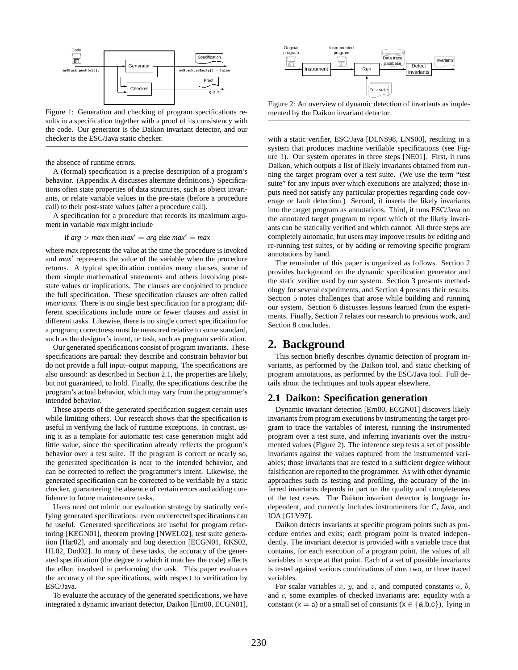

Figure 1: Generation and checking of program specifications results in a specification together with a proof of its consistency with the code. Our generator is the Daikon invariant detector, and our checker is the ESC/Java static checker.

the absence of runtime errors.

A (formal) specification is a precise description of a program's behavior. (Appendix A discusses alternate definitions.) Specifications often state properties of data structures, such as object invariants, or relate variable values in the pre-state (before a procedure call) to their post-state values (after a procedure call).

A specification for a procedure that records its maximum argument in variable *max* might include

if  $arg > max$  then  $max' = arg$  else  $max' = max$ 

where *max* represents the value at the time the procedure is invoked and *max'* represents the value of the variable when the procedure returns. A typical specification contains many clauses, some of them simple mathematical statements and others involving poststate values or implications. The clauses are conjoined to produce the full specification. These specification clauses are often called *invariants*. There is no single best specification for a program; different specifications include more or fewer clauses and assist in different tasks. Likewise, there is no single correct specification for a program; correctness must be measured relative to some standard, such as the designer's intent, or task, such as program verification.

Our generated specifications consist of program invariants. These specifications are partial: they describe and constrain behavior but do not provide a full input–output mapping. The specifications are also unsound: as described in Section 2.1, the properties are likely, but not guaranteed, to hold. Finally, the specifications describe the program's actual behavior, which may vary from the programmer's intended behavior.

These aspects of the generated specification suggest certain uses while limiting others. Our research shows that the specification is useful in verifying the lack of runtime exceptions. In contrast, using it as a template for automatic test case generation might add little value, since the specification already reflects the program's behavior over a test suite. If the program is correct or nearly so, the generated specification is near to the intended behavior, and can be corrected to reflect the programmer's intent. Likewise, the generated specification can be corrected to be verifiable by a static checker, guaranteeing the absence of certain errors and adding confidence to future maintenance tasks.

Users need not mimic our evaluation strategy by statically verifying generated specifications: even uncorrected specifications can be useful. Generated specifications are useful for program refactoring [KEGN01], theorem proving [NWEL02], test suite generation [Har02], and anomaly and bug detection [ECGN01, RKS02, HL02, Dod02]. In many of these tasks, the accuracy of the generated specification (the degree to which it matches the code) affects the effort involved in performing the task. This paper evaluates the accuracy of the specifications, with respect to verification by ESC/Java.

To evaluate the accuracy of the generated specifications, we have integrated a dynamic invariant detector, Daikon [Ern00, ECGN01],



Figure 2: An overview of dynamic detection of invariants as implemented by the Daikon invariant detector.

with a static verifier, ESC/Java [DLNS98, LNS00], resulting in a system that produces machine verifiable specifications (see Figure 1). Our system operates in three steps [NE01]. First, it runs Daikon, which outputs a list of likely invariants obtained from running the target program over a test suite. (We use the term "test suite" for any inputs over which executions are analyzed; those inputs need not satisfy any particular properties regarding code coverage or fault detection.) Second, it inserts the likely invariants into the target program as annotations. Third, it runs ESC/Java on the annotated target program to report which of the likely invariants can be statically verified and which cannot. All three steps are completely automatic, but users may improve results by editing and re-running test suites, or by adding or removing specific program annotations by hand.

The remainder of this paper is organized as follows. Section 2 provides background on the dynamic specification generator and the static verifier used by our system. Section 3 presents methodology for several experiments, and Section 4 presents their results. Section 5 notes challenges that arose while building and running our system. Section 6 discusses lessons learned from the experiments. Finally, Section 7 relates our research to previous work, and Section 8 concludes.

## **2. Background**

This section briefly describes dynamic detection of program invariants, as performed by the Daikon tool, and static checking of program annotations, as performed by the ESC/Java tool. Full details about the techniques and tools appear elsewhere.

### **2.1 Daikon: Specification generation**

Dynamic invariant detection [Ern00, ECGN01] discovers likely invariants from program executions by instrumenting the target program to trace the variables of interest, running the instrumented program over a test suite, and inferring invariants over the instrumented values (Figure 2). The inference step tests a set of possible invariants against the values captured from the instrumented variables; those invariants that are tested to a sufficient degree without falsification are reported to the programmer. As with other dynamic approaches such as testing and profiling, the accuracy of the inferred invariants depends in part on the quality and completeness of the test cases. The Daikon invariant detector is language independent, and currently includes instrumenters for C, Java, and IOA [GLV97].

Daikon detects invariants at specific program points such as procedure entries and exits; each program point is treated independently. The invariant detector is provided with a variable trace that contains, for each execution of a program point, the values of all variables in scope at that point. Each of a set of possible invariants is tested against various combinations of one, two, or three traced variables.

For scalar variables  $x$ ,  $y$ , and  $z$ , and computed constants  $a$ ,  $b$ , and c, some examples of checked invariants are: equality with a constant (x = a) or a small set of constants ( $x \in \{a,b,c\}$ ), lying in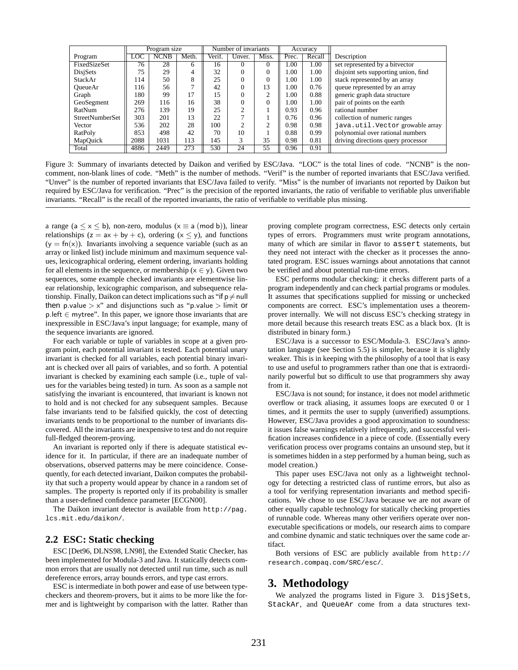|                        | Program size |             |       | Number of invariants |          |                | Accuracy |        |                                      |
|------------------------|--------------|-------------|-------|----------------------|----------|----------------|----------|--------|--------------------------------------|
| Program                | LOC          | <b>NCNB</b> | Meth. | Verif.               | Unver.   | Miss.          | Prec.    | Recall | Description                          |
| <b>FixedSizeSet</b>    | 76           | 28          | 6     | 16                   | $\Omega$ | $\Omega$       | 1.00     | 1.00   | set represented by a bityector       |
| DisjSets               | 75           | 29          | 4     | 32                   | $\theta$ | $\theta$       | 1.00     | 1.00   | disjoint sets supporting union, find |
| <b>StackAr</b>         | 114          | 50          | 8     | 25                   | $\Omega$ | $\theta$       | 1.00     | 1.00   | stack represented by an array        |
| <b>OueueAr</b>         | 116          | 56          |       | 42                   | 0        | 13             | 1.00     | 0.76   | queue represented by an array        |
| Graph                  | 180          | 99          | 17    | 15                   | $\Omega$ | $\overline{c}$ | 1.00     | 0.88   | generic graph data structure         |
| GeoSegment             | 269          | 116         | 16    | 38                   | 0        | $\Omega$       | 1.00     | 1.00   | pair of points on the earth          |
| RatNum                 | 276          | 139         | 19    | 25                   | ◠        |                | 0.93     | 0.96   | rational number                      |
| <b>StreetNumberSet</b> | 303          | 201         | 13    | 22                   |          |                | 0.76     | 0.96   | collection of numeric ranges         |
| Vector                 | 536          | 202         | 28    | 100                  | ◠        | $\mathcal{L}$  | 0.98     | 0.98   | java.util.Vector growable array      |
| RatPoly                | 853          | 498         | 42    | 70                   | 10       |                | 0.88     | 0.99   | polynomial over rational numbers     |
| MapQuick               | 2088         | 1031        | 113   | 145                  | 3        | 35             | 0.98     | 0.81   | driving directions query processor   |
| Total                  | 4886         | 2449        | 273   | 530                  | 24       | 55             | 0.96     | 0.91   |                                      |

Figure 3: Summary of invariants detected by Daikon and verified by ESC/Java. "LOC" is the total lines of code. "NCNB" is the noncomment, non-blank lines of code. "Meth" is the number of methods. "Verif" is the number of reported invariants that ESC/Java verified. "Unver" is the number of reported invariants that ESC/Java failed to verify. "Miss" is the number of invariants not reported by Daikon but required by ESC/Java for verification. "Prec" is the precision of the reported invariants, the ratio of verifiable to verifiable plus unverifiable invariants. "Recall" is the recall of the reported invariants, the ratio of verifiable to verifiable plus missing.

a range ( $a \le x \le b$ ), non-zero, modulus ( $x \equiv a \pmod{b}$ ), linear relationships ( $z = ax + by + c$ ), ordering ( $x \le y$ ), and functions  $(y = fn(x))$ . Invariants involving a sequence variable (such as an array or linked list) include minimum and maximum sequence values, lexicographical ordering, element ordering, invariants holding for all elements in the sequence, or membership ( $x \in y$ ). Given two sequences, some example checked invariants are elementwise linear relationship, lexicographic comparison, and subsequence relationship. Finally, Daikon can detect implications such as "if  $p \neq null$ then p.value  $> x$ " and disjunctions such as "p.value  $>$  limit or  $p.left \in mytree$ . In this paper, we ignore those invariants that are inexpressible in ESC/Java's input language; for example, many of the sequence invariants are ignored.

For each variable or tuple of variables in scope at a given program point, each potential invariant is tested. Each potential unary invariant is checked for all variables, each potential binary invariant is checked over all pairs of variables, and so forth. A potential invariant is checked by examining each sample (i.e., tuple of values for the variables being tested) in turn. As soon as a sample not satisfying the invariant is encountered, that invariant is known not to hold and is not checked for any subsequent samples. Because false invariants tend to be falsified quickly, the cost of detecting invariants tends to be proportional to the number of invariants discovered. All the invariants are inexpensive to test and do not require full-fledged theorem-proving.

An invariant is reported only if there is adequate statistical evidence for it. In particular, if there are an inadequate number of observations, observed patterns may be mere coincidence. Consequently, for each detected invariant, Daikon computes the probability that such a property would appear by chance in a random set of samples. The property is reported only if its probability is smaller than a user-defined confidence parameter [ECGN00].

The Daikon invariant detector is available from http://pag. lcs.mit.edu/daikon/.

### **2.2 ESC: Static checking**

ESC [Det96, DLNS98, LN98], the Extended Static Checker, has been implemented for Modula-3 and Java. It statically detects common errors that are usually not detected until run time, such as null dereference errors, array bounds errors, and type cast errors.

ESC is intermediate in both power and ease of use between typecheckers and theorem-provers, but it aims to be more like the former and is lightweight by comparison with the latter. Rather than proving complete program correctness, ESC detects only certain types of errors. Programmers must write program annotations, many of which are similar in flavor to assert statements, but they need not interact with the checker as it processes the annotated program. ESC issues warnings about annotations that cannot be verified and about potential run-time errors.

ESC performs modular checking: it checks different parts of a program independently and can check partial programs or modules. It assumes that specifications supplied for missing or unchecked components are correct. ESC's implementation uses a theoremprover internally. We will not discuss ESC's checking strategy in more detail because this research treats ESC as a black box. (It is distributed in binary form.)

ESC/Java is a successor to ESC/Modula-3. ESC/Java's annotation language (see Section 5.5) is simpler, because it is slightly weaker. This is in keeping with the philosophy of a tool that is easy to use and useful to programmers rather than one that is extraordinarily powerful but so difficult to use that programmers shy away from it.

ESC/Java is not sound; for instance, it does not model arithmetic overflow or track aliasing, it assumes loops are executed 0 or 1 times, and it permits the user to supply (unverified) assumptions. However, ESC/Java provides a good approximation to soundness: it issues false warnings relatively infrequently, and successful verification increases confidence in a piece of code. (Essentially every verification process over programs contains an unsound step, but it is sometimes hidden in a step performed by a human being, such as model creation.)

This paper uses ESC/Java not only as a lightweight technology for detecting a restricted class of runtime errors, but also as a tool for verifying representation invariants and method specifications. We chose to use ESC/Java because we are not aware of other equally capable technology for statically checking properties of runnable code. Whereas many other verifiers operate over nonexecutable specifications or models, our research aims to compare and combine dynamic and static techniques over the same code artifact.

Both versions of ESC are publicly available from http:// research.compaq.com/SRC/esc/.

## **3. Methodology**

We analyzed the programs listed in Figure 3. DisjSets, StackAr, and QueueAr come from a data structures text-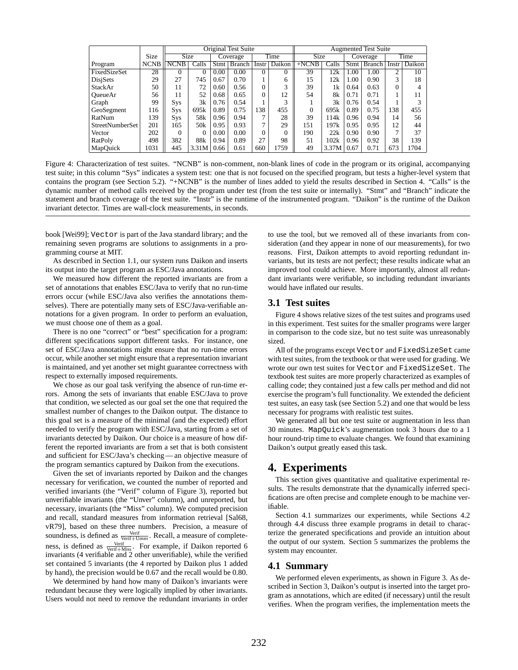|                        |             |             |          | Original Test Suite |               | <b>Augmented Test Suite</b> |          |             |       |          |               |          |        |
|------------------------|-------------|-------------|----------|---------------------|---------------|-----------------------------|----------|-------------|-------|----------|---------------|----------|--------|
|                        | Size        | <b>Size</b> |          | Coverage            |               | Time                        |          | <b>Size</b> |       | Coverage |               | Time     |        |
| Program                | <b>NCNB</b> | <b>NCNB</b> | Calls    | Stmt                | <b>Branch</b> | Instr                       | Daikon   | $+NCNB$     | Calls | Stmt     | <b>Branch</b> | Instr    | Daikon |
| FixedSizeSet           | 28          | $\Omega$    | $\Omega$ | 0.00                | 0.00          | $\Omega$                    | $\theta$ | 39          | 12k   | 1.00     | 1.00          | 2        | 10     |
| DisjSets               | 29          | 27          | 745      | 0.67                | 0.70          |                             | 6        | 15          | 12k   | 1.00     | 0.90          | 3        | 18     |
| StackAr                | 50          | 11          | 72       | 0.60                | 0.56          | $\Omega$                    | 3        | 39          | 1k    | 0.64     | 0.63          | $\Omega$ |        |
| <b>OueueAr</b>         | 56          | 11          | 52       | 0.68                | 0.65          | $\Omega$                    | 12       | 54          | 8k    | 0.71     | 0.71          |          | 11     |
| Graph                  | 99          | Svs         | 3k       | 0.76                | 0.54          |                             | 3        |             | 3k    | 0.76     | 0.54          |          |        |
| GeoSegment             | 116         | Svs         | 695k     | 0.89                | 0.75          | 138                         | 455      |             | 695k  | 0.89     | 0.75          | 138      | 455    |
| RatNum                 | 139         | Sys         | 58k      | 0.96                | 0.94          |                             | 28       | 39          | 114k  | 0.96     | 0.94          | 14       | 56     |
| <b>StreetNumberSet</b> | 201         | 165         | 50k      | 0.95                | 0.93          | $\mathcal{I}$               | 29       | 151         | 197k  | 0.95     | 0.95          | 12       | 44     |
| Vector                 | 202         | $\Omega$    | $\Omega$ | 0.00                | 0.00          | $\Omega$                    | 0        | 190         | 22k   | 0.90     | 0.90          | 7        | 37     |
| RatPoly                | 498         | 382         | 88k      | 0.94                | 0.89          | 27                          | 98       | 51          | 102k  | 0.96     | 0.92          | 38       | 139    |
| MapQuick               | 1031        | 445         | 3.31M    | 0.66                | 0.61          | 660                         | 1759     | 49          | 3.37M | 0.67     | 0.71          | 673      | 1704   |

Figure 4: Characterization of test suites. "NCNB" is non-comment, non-blank lines of code in the program or its original, accompanying test suite; in this column "Sys" indicates a system test: one that is not focused on the specified program, but tests a higher-level system that contains the program (see Section 5.2). "+NCNB" is the number of lines added to yield the results described in Section 4. "Calls" is the dynamic number of method calls received by the program under test (from the test suite or internally). "Stmt" and "Branch" indicate the statement and branch coverage of the test suite. "Instr" is the runtime of the instrumented program. "Daikon" is the runtime of the Daikon invariant detector. Times are wall-clock measurements, in seconds.

book [Wei99]; Vector is part of the Java standard library; and the remaining seven programs are solutions to assignments in a programming course at MIT.

As described in Section 1.1, our system runs Daikon and inserts its output into the target program as ESC/Java annotations.

We measured how different the reported invariants are from a set of annotations that enables ESC/Java to verify that no run-time errors occur (while ESC/Java also verifies the annotations themselves). There are potentially many sets of ESC/Java-verifiable annotations for a given program. In order to perform an evaluation, we must choose one of them as a goal.

There is no one "correct" or "best" specification for a program: different specifications support different tasks. For instance, one set of ESC/Java annotations might ensure that no run-time errors occur, while another set might ensure that a representation invariant is maintained, and yet another set might guarantee correctness with respect to externally imposed requirements.

We chose as our goal task verifying the absence of run-time errors. Among the sets of invariants that enable ESC/Java to prove that condition, we selected as our goal set the one that required the smallest number of changes to the Daikon output. The distance to this goal set is a measure of the minimal (and the expected) effort needed to verify the program with ESC/Java, starting from a set of invariants detected by Daikon. Our choice is a measure of how different the reported invariants are from a set that is both consistent and sufficient for ESC/Java's checking — an objective measure of the program semantics captured by Daikon from the executions.

Given the set of invariants reported by Daikon and the changes necessary for verification, we counted the number of reported and verified invariants (the "Verif" column of Figure 3), reported but unverifiable invariants (the "Unver" column), and unreported, but necessary, invariants (the "Miss" column). We computed precision and recall, standard measures from information retrieval [Sal68, vR79], based on these three numbers. Precision, a measure of soundness, is defined as  $\frac{\text{Verify}}{\text{Verify}}$ . Recall, a measure of completeness, is defined as  $\frac{\text{Verify}}{\text{Verif}+\text{Miss}}$ . For example, if Daikon reported 6 invariants (4 verifiable and 2 other unverifiable), while the verified set contained 5 invariants (the 4 reported by Daikon plus 1 added by hand), the precision would be 0.67 and the recall would be 0.80.

We determined by hand how many of Daikon's invariants were redundant because they were logically implied by other invariants. Users would not need to remove the redundant invariants in order to use the tool, but we removed all of these invariants from consideration (and they appear in none of our measurements), for two reasons. First, Daikon attempts to avoid reporting redundant invariants, but its tests are not perfect; these results indicate what an improved tool could achieve. More importantly, almost all redundant invariants were verifiable, so including redundant invariants would have inflated our results.

#### **3.1 Test suites**

Figure 4 shows relative sizes of the test suites and programs used in this experiment. Test suites for the smaller programs were larger in comparison to the code size, but no test suite was unreasonably sized.

All of the programs except Vector and FixedSizeSet came with test suites, from the textbook or that were used for grading. We wrote our own test suites for Vector and FixedSizeSet. The textbook test suites are more properly characterized as examples of calling code; they contained just a few calls per method and did not exercise the program's full functionality. We extended the deficient test suites, an easy task (see Section 5.2) and one that would be less necessary for programs with realistic test suites.

We generated all but one test suite or augmentation in less than 30 minutes. MapQuick's augmentation took 3 hours due to a 1 hour round-trip time to evaluate changes. We found that examining Daikon's output greatly eased this task.

### **4. Experiments**

This section gives quantitative and qualitative experimental results. The results demonstrate that the dynamically inferred specifications are often precise and complete enough to be machine verifiable.

Section 4.1 summarizes our experiments, while Sections 4.2 through 4.4 discuss three example programs in detail to characterize the generated specifications and provide an intuition about the output of our system. Section 5 summarizes the problems the system may encounter.

#### **4.1 Summary**

We performed eleven experiments, as shown in Figure 3. As described in Section 3, Daikon's output is inserted into the target program as annotations, which are edited (if necessary) until the result verifies. When the program verifies, the implementation meets the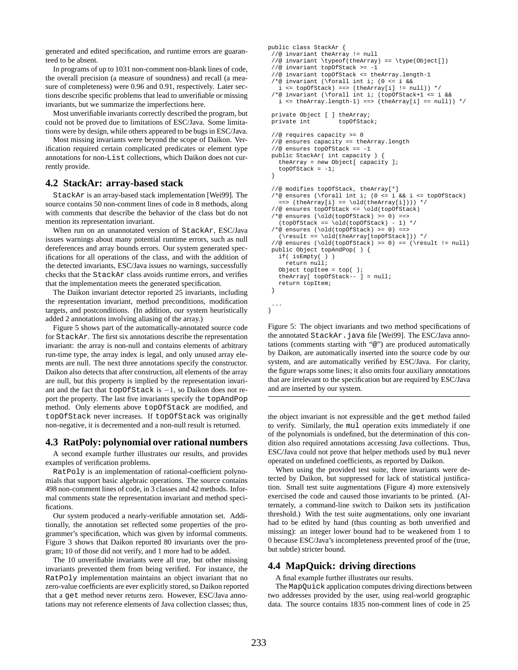generated and edited specification, and runtime errors are guaranteed to be absent.

In programs of up to 1031 non-comment non-blank lines of code, the overall precision (a measure of soundness) and recall (a measure of completeness) were 0.96 and 0.91, respectively. Later sections describe specific problems that lead to unverifiable or missing invariants, but we summarize the imperfections here.

Most unverifiable invariants correctly described the program, but could not be proved due to limitations of ESC/Java. Some limitations were by design, while others appeared to be bugs in ESC/Java.

Most missing invariants were beyond the scope of Daikon. Verification required certain complicated predicates or element type annotations for non-List collections, which Daikon does not currently provide.

#### **4.2 StackAr: array-based stack**

StackAr is an array-based stack implementation [Wei99]. The source contains 50 non-comment lines of code in 8 methods, along with comments that describe the behavior of the class but do not mention its representation invariant.

When run on an unannotated version of StackAr, ESC/Java issues warnings about many potential runtime errors, such as null dereferences and array bounds errors. Our system generated specifications for all operations of the class, and with the addition of the detected invariants, ESC/Java issues no warnings, successfully checks that the StackAr class avoids runtime errors, and verifies that the implementation meets the generated specification.

The Daikon invariant detector reported 25 invariants, including the representation invariant, method preconditions, modification targets, and postconditions. (In addition, our system heuristically added 2 annotations involving aliasing of the array.)

Figure 5 shows part of the automatically-annotated source code for StackAr. The first six annotations describe the representation invariant: the array is non-null and contains elements of arbitrary run-time type, the array index is legal, and only unused array elements are null. The next three annotations specify the constructor. Daikon also detects that after construction, all elements of the array are null, but this property is implied by the representation invariant and the fact that topOfStack is −1, so Daikon does not report the property. The last five invariants specify the topAndPop method. Only elements above topOfStack are modified, and topOfStack never increases. If topOfStack was originally non-negative, it is decremented and a non-null result is returned.

#### **4.3 RatPoly: polynomial over rational numbers**

A second example further illustrates our results, and provides examples of verification problems.

RatPoly is an implementation of rational-coefficient polynomials that support basic algebraic operations. The source contains 498 non-comment lines of code, in 3 classes and 42 methods. Informal comments state the representation invariant and method specifications.

Our system produced a nearly-verifiable annotation set. Additionally, the annotation set reflected some properties of the programmer's specification, which was given by informal comments. Figure 3 shows that Daikon reported 80 invariants over the program; 10 of those did not verify, and 1 more had to be added.

The 10 unverifiable invariants were all true, but other missing invariants prevented them from being verified. For instance, the RatPoly implementation maintains an object invariant that no zero-value coefficients are ever explicitly stored, so Daikon reported that a get method never returns zero. However, ESC/Java annotations may not reference elements of Java collection classes; thus,

```
public class StackAr {
//@ invariant theArray != null
//@ invariant \typeof(theArray) == \type(Object[])
//@ invariant topOfStack >= -1
//@ invariant topOfStack <= theArray.length-1
/*@ invariant (\forall int i; (0 <= i &&
  i\iff topOfStack) \implies (theArray[i] != null)) * //*@ invariant (\forall int i; (topOfStack+1 <= i &&
  i \leq theArray.length-1) ==> (theArray[i] == null)) */
private Object [ ] theArray;<br>private int topOfStac
                    topOfStack;
//@ requires capacity >= 0
//@ ensures capacity == theArray.length
//@ ensures topOfStack == -1
public StackAr( int capacity ) {
  theArray = new Object[ capacity ];
  topOfStack = -1;}
//@ modifies topOfStack, theArray[*]
/*@ ensures (\forall int i; (0 <= i && i <= topOfStack)
  \Rightarrow (theArray[i] == \old(theArray[i]))) */
//@ ensures topOfStack <= \old(topOfStack)
/*@ ensures (\old(topOfStack) >= 0) ==>
  (topOfStack == \old(topOfStack) - 1) */
/*@ ensures (\old(topOfStack) >= 0) ==>
  (\result == \old(theArray[topOfStack])) */
//@ ensures (\old(topOfStack) >= 0) == (\result != null)
public Object topAndPop( ) {
  if( isEmpty( ) )
    return null;
  Object topItem = top( );
  theArray[ topOfStack-- ] = null;
  return topItem;
}
...
```
}

Figure 5: The object invariants and two method specifications of the annotated StackAr. java file [Wei99]. The ESC/Java annotations (comments starting with "@") are produced automatically by Daikon, are automatically inserted into the source code by our system, and are automatically verified by ESC/Java. For clarity, the figure wraps some lines; it also omits four auxiliary annotations that are irrelevant to the specification but are required by ESC/Java and are inserted by our system.

the object invariant is not expressible and the get method failed to verify. Similarly, the mul operation exits immediately if one of the polynomials is undefined, but the determination of this condition also required annotations accessing Java collections. Thus, ESC/Java could not prove that helper methods used by mul never operated on undefined coefficients, as reported by Daikon.

When using the provided test suite, three invariants were detected by Daikon, but suppressed for lack of statistical justification. Small test suite augmentations (Figure 4) more extensively exercised the code and caused those invariants to be printed. (Alternately, a command-line switch to Daikon sets its justification threshold.) With the test suite augmentations, only one invariant had to be edited by hand (thus counting as both unverified and missing): an integer lower bound had to be weakened from 1 to 0 because ESC/Java's incompleteness prevented proof of the (true, but subtle) stricter bound.

#### **4.4 MapQuick: driving directions**

A final example further illustrates our results.

The MapQuick application computes driving directions between two addresses provided by the user, using real-world geographic data. The source contains 1835 non-comment lines of code in 25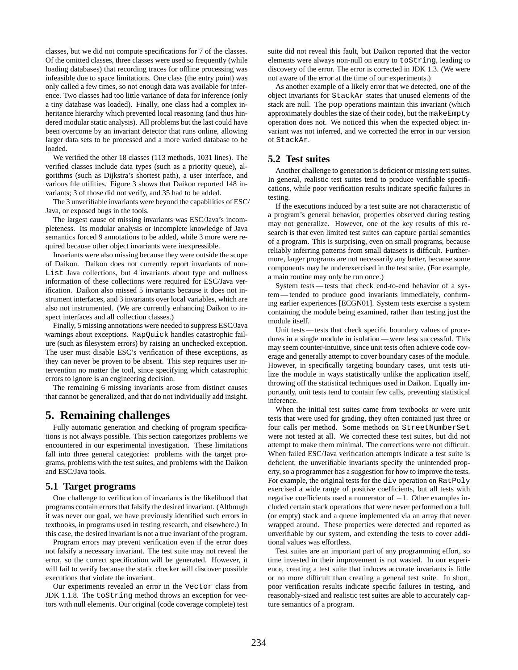classes, but we did not compute specifications for 7 of the classes. Of the omitted classes, three classes were used so frequently (while loading databases) that recording traces for offline processing was infeasible due to space limitations. One class (the entry point) was only called a few times, so not enough data was available for inference. Two classes had too little variance of data for inference (only a tiny database was loaded). Finally, one class had a complex inheritance hierarchy which prevented local reasoning (and thus hindered modular static analysis). All problems but the last could have been overcome by an invariant detector that runs online, allowing larger data sets to be processed and a more varied database to be loaded.

We verified the other 18 classes (113 methods, 1031 lines). The verified classes include data types (such as a priority queue), algorithms (such as Dijkstra's shortest path), a user interface, and various file utilities. Figure 3 shows that Daikon reported 148 invariants; 3 of those did not verify, and 35 had to be added.

The 3 unverifiable invariants were beyond the capabilities of ESC/ Java, or exposed bugs in the tools.

The largest cause of missing invariants was ESC/Java's incompleteness. Its modular analysis or incomplete knowledge of Java semantics forced 9 annotations to be added, while 3 more were required because other object invariants were inexpressible.

Invariants were also missing because they were outside the scope of Daikon. Daikon does not currently report invariants of non-List Java collections, but 4 invariants about type and nullness information of these collections were required for ESC/Java verification. Daikon also missed 5 invariants because it does not instrument interfaces, and 3 invariants over local variables, which are also not instrumented. (We are currently enhancing Daikon to inspect interfaces and all collection classes.)

Finally, 5 missing annotations were needed to suppress ESC/Java warnings about exceptions. MapQuick handles catastrophic failure (such as filesystem errors) by raising an unchecked exception. The user must disable ESC's verification of these exceptions, as they can never be proven to be absent. This step requires user intervention no matter the tool, since specifying which catastrophic errors to ignore is an engineering decision.

The remaining 6 missing invariants arose from distinct causes that cannot be generalized, and that do not individually add insight.

## **5. Remaining challenges**

Fully automatic generation and checking of program specifications is not always possible. This section categorizes problems we encountered in our experimental investigation. These limitations fall into three general categories: problems with the target programs, problems with the test suites, and problems with the Daikon and ESC/Java tools.

#### **5.1 Target programs**

One challenge to verification of invariants is the likelihood that programs contain errors that falsify the desired invariant. (Although it was never our goal, we have previously identified such errors in textbooks, in programs used in testing research, and elsewhere.) In this case, the desired invariant is not a true invariant of the program.

Program errors may prevent verification even if the error does not falsify a necessary invariant. The test suite may not reveal the error, so the correct specification will be generated. However, it will fail to verify because the static checker will discover possible executions that violate the invariant.

Our experiments revealed an error in the Vector class from JDK 1.1.8. The toString method throws an exception for vectors with null elements. Our original (code coverage complete) test suite did not reveal this fault, but Daikon reported that the vector elements were always non-null on entry to toString, leading to discovery of the error. The error is corrected in JDK 1.3. (We were not aware of the error at the time of our experiments.)

As another example of a likely error that we detected, one of the object invariants for StackAr states that unused elements of the stack are null. The pop operations maintain this invariant (which approximately doubles the size of their code), but the makeEmpty operation does not. We noticed this when the expected object invariant was not inferred, and we corrected the error in our version of StackAr.

### **5.2 Test suites**

Another challenge to generation is deficient or missing test suites. In general, realistic test suites tend to produce verifiable specifications, while poor verification results indicate specific failures in testing.

If the executions induced by a test suite are not characteristic of a program's general behavior, properties observed during testing may not generalize. However, one of the key results of this research is that even limited test suites can capture partial semantics of a program. This is surprising, even on small programs, because reliably inferring patterns from small datasets is difficult. Furthermore, larger programs are not necessarily any better, because some components may be underexercised in the test suite. (For example, a main routine may only be run once.)

System tests — tests that check end-to-end behavior of a system — tended to produce good invariants immediately, confirming earlier experiences [ECGN01]. System tests exercise a system containing the module being examined, rather than testing just the module itself.

Unit tests — tests that check specific boundary values of procedures in a single module in isolation — were less successful. This may seem counter-intuitive, since unit tests often achieve code coverage and generally attempt to cover boundary cases of the module. However, in specifically targeting boundary cases, unit tests utilize the module in ways statistically unlike the application itself, throwing off the statistical techniques used in Daikon. Equally importantly, unit tests tend to contain few calls, preventing statistical inference.

When the initial test suites came from textbooks or were unit tests that were used for grading, they often contained just three or four calls per method. Some methods on StreetNumberSet were not tested at all. We corrected these test suites, but did not attempt to make them minimal. The corrections were not difficult. When failed ESC/Java verification attempts indicate a test suite is deficient, the unverifiable invariants specify the unintended property, so a programmer has a suggestion for how to improve the tests. For example, the original tests for the div operation on RatPoly exercised a wide range of positive coefficients, but all tests with negative coefficients used a numerator of −1. Other examples included certain stack operations that were never performed on a full (or empty) stack and a queue implemented via an array that never wrapped around. These properties were detected and reported as unverifiable by our system, and extending the tests to cover additional values was effortless.

Test suites are an important part of any programming effort, so time invested in their improvement is not wasted. In our experience, creating a test suite that induces accurate invariants is little or no more difficult than creating a general test suite. In short, poor verification results indicate specific failures in testing, and reasonably-sized and realistic test suites are able to accurately capture semantics of a program.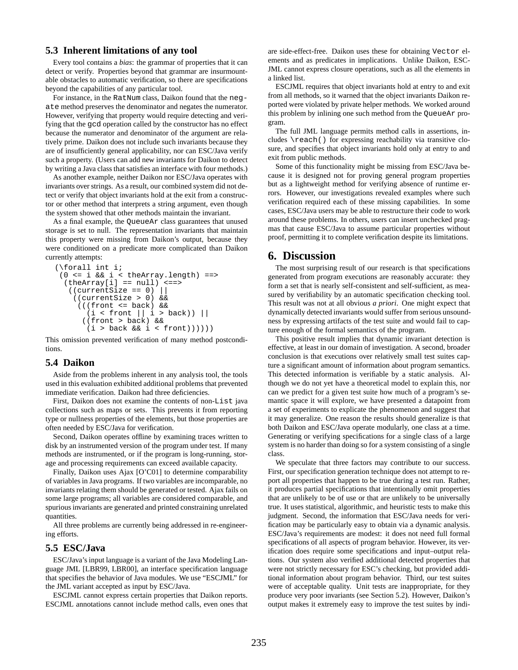#### **5.3 Inherent limitations of any tool**

Every tool contains a *bias*: the grammar of properties that it can detect or verify. Properties beyond that grammar are insurmountable obstacles to automatic verification, so there are specifications beyond the capabilities of any particular tool.

For instance, in the RatNum class, Daikon found that the negate method preserves the denominator and negates the numerator. However, verifying that property would require detecting and verifying that the gcd operation called by the constructor has no effect because the numerator and denominator of the argument are relatively prime. Daikon does not include such invariants because they are of insufficiently general applicability, nor can ESC/Java verify such a property. (Users can add new invariants for Daikon to detect by writing a Java class that satisfies an interface with four methods.)

As another example, neither Daikon nor ESC/Java operates with invariants over strings. As a result, our combined system did not detect or verify that object invariants hold at the exit from a constructor or other method that interprets a string argument, even though the system showed that other methods maintain the invariant.

As a final example, the QueueAr class guarantees that unused storage is set to null. The representation invariants that maintain this property were missing from Daikon's output, because they were conditioned on a predicate more complicated than Daikon currently attempts:

```
(\forall int i;
(0 \leq i \&\& i \leq \text{theArray.length}) ==>
 (hearray[i] == null) <==>
  ((currentSize == 0))((currentSize > 0) &&
    (((front <= back) &&
      (i < from \mid | i > back)) ||
     ((front > back) &&
      (i > back &amp; i < from)))))
```
This omission prevented verification of many method postconditions.

### **5.4 Daikon**

Aside from the problems inherent in any analysis tool, the tools used in this evaluation exhibited additional problems that prevented immediate verification. Daikon had three deficiencies.

First, Daikon does not examine the contents of non-List java collections such as maps or sets. This prevents it from reporting type or nullness properties of the elements, but those properties are often needed by ESC/Java for verification.

Second, Daikon operates offline by examining traces written to disk by an instrumented version of the program under test. If many methods are instrumented, or if the program is long-running, storage and processing requirements can exceed available capacity.

Finally, Daikon uses Ajax [O'C01] to determine comparability of variables in Java programs. If two variables are incomparable, no invariants relating them should be generated or tested. Ajax fails on some large programs; all variables are considered comparable, and spurious invariants are generated and printed constraining unrelated quantities.

All three problems are currently being addressed in re-engineering efforts.

### **5.5 ESC/Java**

ESC/Java's input language is a variant of the Java Modeling Language JML [LBR99, LBR00], an interface specification language that specifies the behavior of Java modules. We use "ESCJML" for the JML variant accepted as input by ESC/Java.

ESCJML cannot express certain properties that Daikon reports. ESCJML annotations cannot include method calls, even ones that are side-effect-free. Daikon uses these for obtaining Vector elements and as predicates in implications. Unlike Daikon, ESC-JML cannot express closure operations, such as all the elements in a linked list.

ESCJML requires that object invariants hold at entry to and exit from all methods, so it warned that the object invariants Daikon reported were violated by private helper methods. We worked around this problem by inlining one such method from the QueueAr program.

The full JML language permits method calls in assertions, includes \reach() for expressing reachability via transitive closure, and specifies that object invariants hold only at entry to and exit from public methods.

Some of this functionality might be missing from ESC/Java because it is designed not for proving general program properties but as a lightweight method for verifying absence of runtime errors. However, our investigations revealed examples where such verification required each of these missing capabilities. In some cases, ESC/Java users may be able to restructure their code to work around these problems. In others, users can insert unchecked pragmas that cause ESC/Java to assume particular properties without proof, permitting it to complete verification despite its limitations.

### **6. Discussion**

The most surprising result of our research is that specifications generated from program executions are reasonably accurate: they form a set that is nearly self-consistent and self-sufficient, as measured by verifiability by an automatic specification checking tool. This result was not at all obvious *a priori*. One might expect that dynamically detected invariants would suffer from serious unsoundness by expressing artifacts of the test suite and would fail to capture enough of the formal semantics of the program.

This positive result implies that dynamic invariant detection is effective, at least in our domain of investigation. A second, broader conclusion is that executions over relatively small test suites capture a significant amount of information about program semantics. This detected information is verifiable by a static analysis. Although we do not yet have a theoretical model to explain this, nor can we predict for a given test suite how much of a program's semantic space it will explore, we have presented a datapoint from a set of experiments to explicate the phenomenon and suggest that it may generalize. One reason the results should generalize is that both Daikon and ESC/Java operate modularly, one class at a time. Generating or verifying specifications for a single class of a large system is no harder than doing so for a system consisting of a single class.

We speculate that three factors may contribute to our success. First, our specification generation technique does not attempt to report all properties that happen to be true during a test run. Rather, it produces partial specifications that intentionally omit properties that are unlikely to be of use or that are unlikely to be universally true. It uses statistical, algorithmic, and heuristic tests to make this judgment. Second, the information that ESC/Java needs for verification may be particularly easy to obtain via a dynamic analysis. ESC/Java's requirements are modest: it does not need full formal specifications of all aspects of program behavior. However, its verification does require some specifications and input–output relations. Our system also verified additional detected properties that were not strictly necessary for ESC's checking, but provided additional information about program behavior. Third, our test suites were of acceptable quality. Unit tests are inappropriate, for they produce very poor invariants (see Section 5.2). However, Daikon's output makes it extremely easy to improve the test suites by indi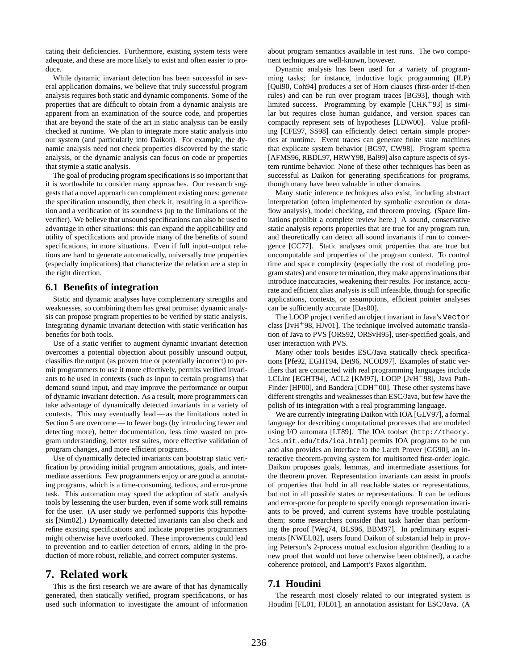cating their deficiencies. Furthermore, existing system tests were adequate, and these are more likely to exist and often easier to produce.

While dynamic invariant detection has been successful in several application domains, we believe that truly successful program analysis requires both static and dynamic components. Some of the properties that are difficult to obtain from a dynamic analysis are apparent from an examination of the source code, and properties that are beyond the state of the art in static analysis can be easily checked at runtime. We plan to integrate more static analysis into our system (and particularly into Daikon). For example, the dynamic analysis need not check properties discovered by the static analysis, or the dynamic analysis can focus on code or properties that stymie a static analysis.

The goal of producing program specifications is so important that it is worthwhile to consider many approaches. Our research suggests that a novel approach can complement existing ones: generate the specification unsoundly, then check it, resulting in a specification and a verification of its soundness (up to the limitations of the verifier). We believe that unsound specifications can also be used to advantage in other situations: this can expand the applicability and utility of specifications and provide many of the benefits of sound specifications, in more situations. Even if full input–output relations are hard to generate automatically, universally true properties (especially implications) that characterize the relation are a step in the right direction.

#### **6.1 Benefits of integration**

Static and dynamic analyses have complementary strengths and weaknesses, so combining them has great promise: dynamic analysis can propose program properties to be verified by static analysis. Integrating dynamic invariant detection with static verification has benefits for both tools.

Use of a static verifier to augment dynamic invariant detection overcomes a potential objection about possibly unsound output, classifies the output (as proven true or potentially incorrect) to permit programmers to use it more effectively, permits verified invariants to be used in contexts (such as input to certain programs) that demand sound input, and may improve the performance or output of dynamic invariant detection. As a result, more programmers can take advantage of dynamically detected invariants in a variety of contexts. This may eventually lead — as the limitations noted in Section 5 are overcome — to fewer bugs (by introducing fewer and detecting more), better documentation, less time wasted on program understanding, better test suites, more effective validation of program changes, and more efficient programs.

Use of dynamically detected invariants can bootstrap static verification by providing initial program annotations, goals, and intermediate assertions. Few programmers enjoy or are good at annotating programs, which is a time-consuming, tedious, and error-prone task. This automation may speed the adoption of static analysis tools by lessening the user burden, even if some work still remains for the user. (A user study we performed supports this hypothesis [Nim02].) Dynamically detected invariants can also check and refine existing specifications and indicate properties programmers might otherwise have overlooked. These improvements could lead to prevention and to earlier detection of errors, aiding in the production of more robust, reliable, and correct computer systems.

### **7. Related work**

This is the first research we are aware of that has dynamically generated, then statically verified, program specifications, or has used such information to investigate the amount of information about program semantics available in test runs. The two component techniques are well-known, however.

Dynamic analysis has been used for a variety of programming tasks; for instance, inductive logic programming (ILP) [Qui90, Coh94] produces a set of Horn clauses (first-order if-then rules) and can be run over program traces [BG93], though with limited success. Programming by example  $[CHK^+93]$  is similar but requires close human guidance, and version spaces can compactly represent sets of hypotheses [LDW00]. Value profiling [CFE97, SS98] can efficiently detect certain simple properties at runtime. Event traces can generate finite state machines that explicate system behavior [BG97, CW98]. Program spectra [AFMS96, RBDL97, HRWY98, Bal99] also capture aspects of system runtime behavior. None of these other techniques has been as successful as Daikon for generating specifications for programs, though many have been valuable in other domains.

Many static inference techniques also exist, including abstract interpretation (often implemented by symbolic execution or dataflow analysis), model checking, and theorem proving. (Space limitations prohibit a complete review here.) A sound, conservative static analysis reports properties that are true for any program run, and theoretically can detect all sound invariants if run to convergence [CC77]. Static analyses omit properties that are true but uncomputable and properties of the program context. To control time and space complexity (especially the cost of modeling program states) and ensure termination, they make approximations that introduce inaccuracies, weakening their results. For instance, accurate and efficient alias analysis is still infeasible, though for specific applications, contexts, or assumptions, efficient pointer analyses can be sufficiently accurate [Das00].

The LOOP project verified an object invariant in Java's Vector class  $[JvH<sup>+</sup>98, HJv01]$ . The technique involved automatic translation of Java to PVS [ORS92, ORSvH95], user-specified goals, and user interaction with PVS.

Many other tools besides ESC/Java statically check specifications [Pfe92, EGHT94, Det96, NCOD97]. Examples of static verifiers that are connected with real programming languages include LCLint [EGHT94], ACL2 [KM97], LOOP [JvH<sup>+</sup>98], Java Path-Finder [HP00], and Bandera [CDH<sup>+</sup>00]. These other systems have different strengths and weaknesses than ESC/Java, but few have the polish of its integration with a real programming language.

We are currently integrating Daikon with IOA [GLV97], a formal language for describing computational processes that are modeled using I/O automata [LT89]. The IOA toolset (http://theory. lcs.mit.edu/tds/ioa.html) permits IOA programs to be run and also provides an interface to the Larch Prover [GG90], an interactive theorem-proving system for multisorted first-order logic. Daikon proposes goals, lemmas, and intermediate assertions for the theorem prover. Representation invariants can assist in proofs of properties that hold in all reachable states or representations, but not in all possible states or representations. It can be tedious and error-prone for people to specify enough representation invariants to be proved, and current systems have trouble postulating them; some researchers consider that task harder than performing the proof [Weg74, BLS96, BBM97]. In preliminary experiments [NWEL02], users found Daikon of substantial help in proving Peterson's 2-process mutual exclusion algorithm (leading to a new proof that would not have otherwise been obtained), a cache coherence protocol, and Lamport's Paxos algorithm.

#### **7.1 Houdini**

The research most closely related to our integrated system is Houdini [FL01, FJL01], an annotation assistant for ESC/Java. (A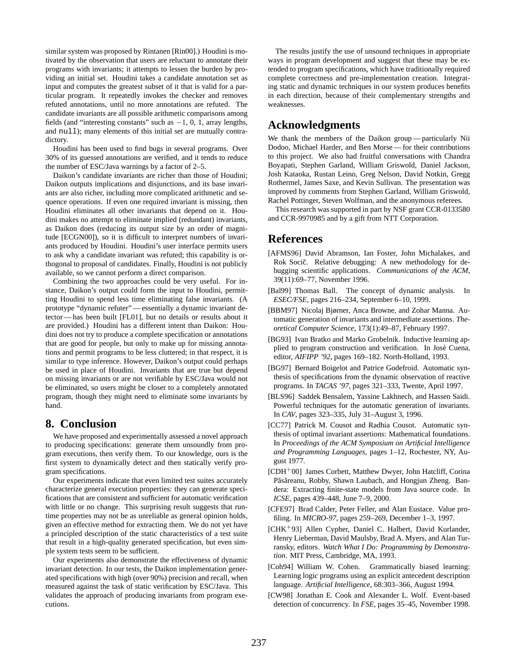similar system was proposed by Rintanen [Rin00].) Houdini is motivated by the observation that users are reluctant to annotate their programs with invariants; it attempts to lessen the burden by providing an initial set. Houdini takes a candidate annotation set as input and computes the greatest subset of it that is valid for a particular program. It repeatedly invokes the checker and removes refuted annotations, until no more annotations are refuted. The candidate invariants are all possible arithmetic comparisons among fields (and "interesting constants" such as  $-1$ , 0, 1, array lengths, and null); many elements of this initial set are mutually contradictory.

Houdini has been used to find bugs in several programs. Over 30% of its guessed annotations are verified, and it tends to reduce the number of ESC/Java warnings by a factor of 2–5.

Daikon's candidate invariants are richer than those of Houdini; Daikon outputs implications and disjunctions, and its base invariants are also richer, including more complicated arithmetic and sequence operations. If even one required invariant is missing, then Houdini eliminates all other invariants that depend on it. Houdini makes no attempt to eliminate implied (redundant) invariants, as Daikon does (reducing its output size by an order of magnitude [ECGN00]), so it is difficult to interpret numbers of invariants produced by Houdini. Houdini's user interface permits users to ask why a candidate invariant was refuted; this capability is orthogonal to proposal of candidates. Finally, Houdini is not publicly available, so we cannot perform a direct comparison.

Combining the two approaches could be very useful. For instance, Daikon's output could form the input to Houdini, permitting Houdini to spend less time eliminating false invariants. (A prototype "dynamic refuter" — essentially a dynamic invariant detector — has been built [FL01], but no details or results about it are provided.) Houdini has a different intent than Daikon: Houdini does not try to produce a complete specification or annotations that are good for people, but only to make up for missing annotations and permit programs to be less cluttered; in that respect, it is similar to type inference. However, Daikon's output could perhaps be used in place of Houdini. Invariants that are true but depend on missing invariants or are not verifiable by ESC/Java would not be eliminated, so users might be closer to a completely annotated program, though they might need to eliminate some invariants by hand.

## **8. Conclusion**

We have proposed and experimentally assessed a novel approach to producing specifications: generate them unsoundly from program executions, then verify them. To our knowledge, ours is the first system to dynamically detect and then statically verify program specifications.

Our experiments indicate that even limited test suites accurately characterize general execution properties: they can generate specifications that are consistent and sufficient for automatic verification with little or no change. This surprising result suggests that runtime properties may not be as unreliable as general opinion holds, given an effective method for extracting them. We do not yet have a principled description of the static characteristics of a test suite that result in a high-quality generated specification, but even simple system tests seem to be sufficient.

Our experiments also demonstrate the effectiveness of dynamic invariant detection. In our tests, the Daikon implementation generated specifications with high (over 90%) precision and recall, when measured against the task of static verification by ESC/Java. This validates the approach of producing invariants from program executions.

The results justify the use of unsound techniques in appropriate ways in program development and suggest that these may be extended to program specifications, which have traditionally required complete correctness and pre-implementation creation. Integrating static and dynamic techniques in our system produces benefits in each direction, because of their complementary strengths and weaknesses.

## **Acknowledgments**

We thank the members of the Daikon group — particularly Nii Dodoo, Michael Harder, and Ben Morse — for their contributions to this project. We also had fruitful conversations with Chandra Boyapati, Stephen Garland, William Griswold, Daniel Jackson, Josh Kataoka, Rustan Leino, Greg Nelson, David Notkin, Gregg Rothermel, James Saxe, and Kevin Sullivan. The presentation was improved by comments from Stephen Garland, William Griswold, Rachel Pottinger, Steven Wolfman, and the anonymous referees.

This research was supported in part by NSF grant CCR-0133580 and CCR-9970985 and by a gift from NTT Corporation.

## **References**

- [AFMS96] David Abramson, Ian Foster, John Michalakes, and Rok Socič. Relative debugging: A new methodology for debugging scientific applications. *Communications of the ACM*, 39(11):69–77, November 1996.
- [Bal99] Thomas Ball. The concept of dynamic analysis. In *ESEC/FSE*, pages 216–234, September 6–10, 1999.
- [BBM97] Nicolaj Bjørner, Anca Browne, and Zohar Manna. Automatic generation of invariants and intermediate assertions. *Theoretical Computer Science*, 173(1):49–87, February 1997.
- [BG93] Ivan Bratko and Marko Grobelnik. Inductive learning applied to program construction and verification. In Jose Cuena, ´ editor, *AIFIPP '92*, pages 169–182. North-Holland, 1993.
- [BG97] Bernard Boigelot and Patrice Godefroid. Automatic synthesis of specifications from the dynamic observation of reactive programs. In *TACAS '97*, pages 321–333, Twente, April 1997.
- [BLS96] Saddek Bensalem, Yassine Lakhnech, and Hassen Saidi. Powerful techniques for the automatic generation of invariants. In *CAV*, pages 323–335, July 31–August 3, 1996.
- [CC77] Patrick M. Cousot and Radhia Cousot. Automatic synthesis of optimal invariant assertions: Mathematical foundations. In *Proceedings of the ACM Symposium on Artificial Intelligence and Programming Languages*, pages 1–12, Rochester, NY, August 1977.
- [CDH<sup>+</sup>00] James Corbett, Matthew Dwyer, John Hatcliff, Corina Păsăreanu, Robby, Shawn Laubach, and Hongjun Zheng. Bandera: Extracting finite-state models from Java source code. In *ICSE*, pages 439–448, June 7–9, 2000.
- [CFE97] Brad Calder, Peter Feller, and Alan Eustace. Value profiling. In *MICRO-97*, pages 259–269, December 1–3, 1997.
- [CHK<sup>+</sup>93] Allen Cypher, Daniel C. Halbert, David Kurlander, Henry Lieberman, David Maulsby, Brad A. Myers, and Alan Turransky, editors. *Watch What I Do: Programming by Demonstration*. MIT Press, Cambridge, MA, 1993.
- [Coh94] William W. Cohen. Grammatically biased learning: Learning logic programs using an explicit antecedent description language. *Artificial Intelligence*, 68:303–366, August 1994.
- [CW98] Jonathan E. Cook and Alexander L. Wolf. Event-based detection of concurrency. In *FSE*, pages 35–45, November 1998.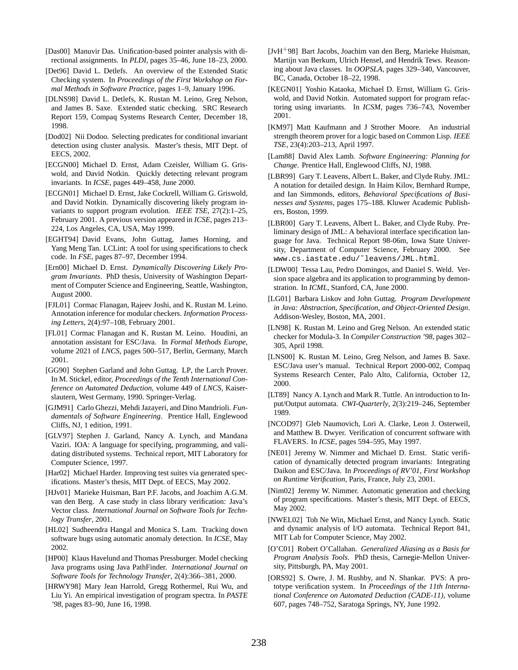- [Das00] Manuvir Das. Unification-based pointer analysis with directional assignments. In *PLDI*, pages 35–46, June 18–23, 2000.
- [Det96] David L. Detlefs. An overview of the Extended Static Checking system. In *Proceedings of the First Workshop on Formal Methods in Software Practice*, pages 1–9, January 1996.
- [DLNS98] David L. Detlefs, K. Rustan M. Leino, Greg Nelson, and James B. Saxe. Extended static checking. SRC Research Report 159, Compaq Systems Research Center, December 18, 1998.
- [Dod02] Nii Dodoo. Selecting predicates for conditional invariant detection using cluster analysis. Master's thesis, MIT Dept. of EECS, 2002.
- [ECGN00] Michael D. Ernst, Adam Czeisler, William G. Griswold, and David Notkin. Quickly detecting relevant program invariants. In *ICSE*, pages 449–458, June 2000.
- [ECGN01] Michael D. Ernst, Jake Cockrell, William G. Griswold, and David Notkin. Dynamically discovering likely program invariants to support program evolution. *IEEE TSE*, 27(2):1–25, February 2001. A previous version appeared in *ICSE*, pages 213– 224, Los Angeles, CA, USA, May 1999.
- [EGHT94] David Evans, John Guttag, James Horning, and Yang Meng Tan. LCLint: A tool for using specifications to check code. In *FSE*, pages 87–97, December 1994.
- [Ern00] Michael D. Ernst. *Dynamically Discovering Likely Program Invariants*. PhD thesis, University of Washington Department of Computer Science and Engineering, Seattle, Washington, August 2000.
- [FJL01] Cormac Flanagan, Rajeev Joshi, and K. Rustan M. Leino. Annotation inference for modular checkers. *Information Processing Letters*, 2(4):97–108, February 2001.
- [FL01] Cormac Flanagan and K. Rustan M. Leino. Houdini, an annotation assistant for ESC/Java. In *Formal Methods Europe*, volume 2021 of *LNCS*, pages 500–517, Berlin, Germany, March 2001.
- [GG90] Stephen Garland and John Guttag. LP, the Larch Prover. In M. Stickel, editor, *Proceedings of the Tenth International Conference on Automated Deduction*, volume 449 of *LNCS*, Kaiserslautern, West Germany, 1990. Springer-Verlag.
- [GJM91] Carlo Ghezzi, Mehdi Jazayeri, and Dino Mandrioli. *Fundamentals of Software Engineering*. Prentice Hall, Englewood Cliffs, NJ, 1 edition, 1991.
- [GLV97] Stephen J. Garland, Nancy A. Lynch, and Mandana Vaziri. IOA: A language for specifying, programming, and validating distributed systems. Technical report, MIT Laboratory for Computer Science, 1997.
- [Har02] Michael Harder. Improving test suites via generated specifications. Master's thesis, MIT Dept. of EECS, May 2002.
- [HJv01] Marieke Huisman, Bart P.F. Jacobs, and Joachim A.G.M. van den Berg. A case study in class library verification: Java's Vector class. *International Journal on Software Tools for Technlogy Transfer*, 2001.
- [HL02] Sudheendra Hangal and Monica S. Lam. Tracking down software bugs using automatic anomaly detection. In *ICSE*, May 2002.
- [HP00] Klaus Havelund and Thomas Pressburger. Model checking Java programs using Java PathFinder. *International Journal on Software Tools for Technology Transfer*, 2(4):366–381, 2000.
- [HRWY98] Mary Jean Harrold, Gregg Rothermel, Rui Wu, and Liu Yi. An empirical investigation of program spectra. In *PASTE '98*, pages 83–90, June 16, 1998.
- [JvH<sup>+</sup>98] Bart Jacobs, Joachim van den Berg, Marieke Huisman, Martijn van Berkum, Ulrich Hensel, and Hendrik Tews. Reasoning about Java classes. In *OOPSLA*, pages 329–340, Vancouver, BC, Canada, October 18–22, 1998.
- [KEGN01] Yoshio Kataoka, Michael D. Ernst, William G. Griswold, and David Notkin. Automated support for program refactoring using invariants. In *ICSM*, pages 736–743, November 2001.
- [KM97] Matt Kaufmann and J Strother Moore. An industrial strength theorem prover for a logic based on Common Lisp. *IEEE TSE*, 23(4):203–213, April 1997.
- [Lam88] David Alex Lamb. *Software Engineering: Planning for Change*. Prentice Hall, Englewood Cliffs, NJ, 1988.
- [LBR99] Gary T. Leavens, Albert L. Baker, and Clyde Ruby. JML: A notation for detailed design. In Haim Kilov, Bernhard Rumpe, and Ian Simmonds, editors, *Behavioral Specifications of Businesses and Systems*, pages 175–188. Kluwer Academic Publishers, Boston, 1999.
- [LBR00] Gary T. Leavens, Albert L. Baker, and Clyde Ruby. Preliminary design of JML: A behavioral interface specification language for Java. Technical Report 98-06m, Iowa State University, Department of Computer Science, February 2000. See www.cs.iastate.edu/˜leavens/JML.html.
- [LDW00] Tessa Lau, Pedro Domingos, and Daniel S. Weld. Version space algebra and its application to programming by demonstration. In *ICML*, Stanford, CA, June 2000.
- [LG01] Barbara Liskov and John Guttag. *Program Development in Java: Abstraction, Specification, and Object-Oriented Design*. Addison-Wesley, Boston, MA, 2001.
- [LN98] K. Rustan M. Leino and Greg Nelson. An extended static checker for Modula-3. In *Compiler Construction '98*, pages 302– 305, April 1998.
- [LNS00] K. Rustan M. Leino, Greg Nelson, and James B. Saxe. ESC/Java user's manual. Technical Report 2000-002, Compaq Systems Research Center, Palo Alto, California, October 12, 2000.
- [LT89] Nancy A. Lynch and Mark R. Tuttle. An introduction to Input/Output automata. *CWI-Quarterly*, 2(3):219–246, September 1989.
- [NCOD97] Gleb Naumovich, Lori A. Clarke, Leon J. Osterweil, and Matthew B. Dwyer. Verification of concurrent software with FLAVERS. In *ICSE*, pages 594–595, May 1997.
- [NE01] Jeremy W. Nimmer and Michael D. Ernst. Static verification of dynamically detected program invariants: Integrating Daikon and ESC/Java. In *Proceedings of RV'01, First Workshop on Runtime Verification*, Paris, France, July 23, 2001.
- [Nim02] Jeremy W. Nimmer. Automatic generation and checking of program specifications. Master's thesis, MIT Dept. of EECS, May 2002.
- [NWEL02] Toh Ne Win, Michael Ernst, and Nancy Lynch. Static and dynamic analysis of I/O automata. Technical Report 841, MIT Lab for Computer Science, May 2002.
- [O'C01] Robert O'Callahan. *Generalized Aliasing as a Basis for Program Analysis Tools*. PhD thesis, Carnegie-Mellon University, Pittsburgh, PA, May 2001.
- [ORS92] S. Owre, J. M. Rushby, and N. Shankar. PVS: A prototype verification system. In *Proceedings of the 11th International Conference on Automated Deduction (CADE-11)*, volume 607, pages 748–752, Saratoga Springs, NY, June 1992.